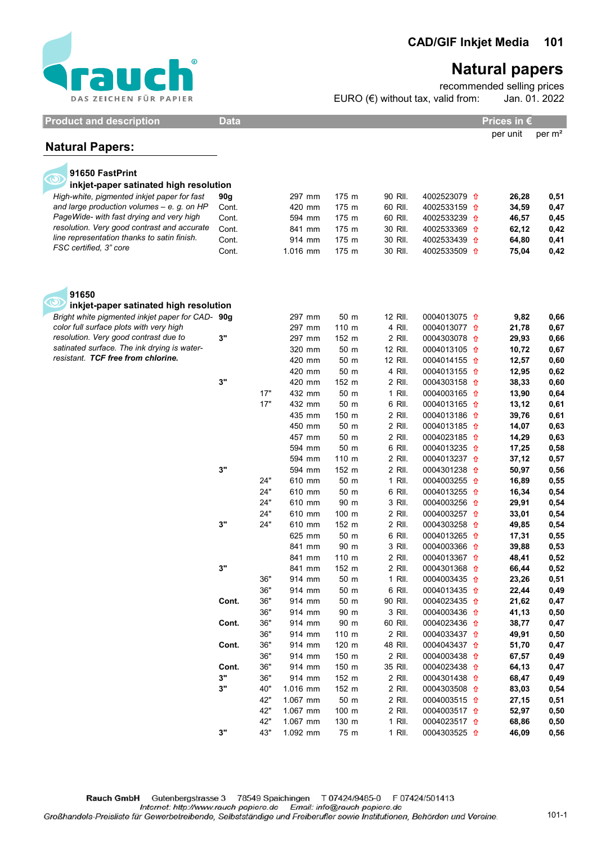

## Natural papers

recommended selling prices Jan. 01. 2022 EURO  $(\epsilon)$  without tax, valid from:

| <b>Product and description</b>                                                             | <b>Data</b><br>Prices in € |     |          |       |         |                         |          |                    |
|--------------------------------------------------------------------------------------------|----------------------------|-----|----------|-------|---------|-------------------------|----------|--------------------|
|                                                                                            |                            |     |          |       |         |                         | per unit | per m <sup>2</sup> |
| <b>Natural Papers:</b>                                                                     |                            |     |          |       |         |                         |          |                    |
|                                                                                            |                            |     |          |       |         |                         |          |                    |
| 91650 FastPrint                                                                            |                            |     |          |       |         |                         |          |                    |
| inkjet-paper satinated high resolution                                                     |                            |     |          |       |         |                         |          |                    |
| High-white, pigmented inkjet paper for fast                                                | 90g                        |     | 297 mm   | 175 m | 90 RII. | 4002523079 <del>1</del> | 26,28    | 0,51               |
| and large production volumes $-$ e. g. on HP                                               | Cont.                      |     | 420 mm   | 175 m | 60 RII. | 4002533159 <del>1</del> | 34,59    | 0,47               |
| PageWide- with fast drying and very high                                                   | Cont.                      |     | 594 mm   | 175 m | 60 RII. | 4002533239 <del>1</del> | 46,57    | 0,45               |
| resolution. Very good contrast and accurate<br>line representation thanks to satin finish. | Cont.                      |     | 841 mm   | 175 m | 30 RII. | 4002533369 <del>1</del> | 62,12    | 0,42               |
| FSC certified, 3" core                                                                     | Cont.                      |     | 914 mm   | 175 m | 30 RII. | 4002533439 <del>1</del> | 64,80    | 0,41               |
|                                                                                            | Cont.                      |     | 1.016 mm | 175 m | 30 RII. | 4002533509 <del>1</del> | 75,04    | 0,42               |
| 91650                                                                                      |                            |     |          |       |         |                         |          |                    |
| $\boldsymbol{\odot}$<br>inkjet-paper satinated high resolution                             |                            |     |          |       |         |                         |          |                    |
| Bright white pigmented inkjet paper for CAD- 90g                                           |                            |     | 297 mm   | 50 m  | 12 RII. | 0004013075 1            | 9,82     | 0,66               |
| color full surface plots with very high                                                    |                            |     | 297 mm   | 110 m | 4 RII.  | 0004013077 1            | 21,78    | 0,67               |
| resolution. Very good contrast due to                                                      | 3"                         |     | 297 mm   | 152 m | 2 RII.  | 0004303078 1            | 29,93    | 0,66               |
| satinated surface. The ink drying is water-                                                |                            |     | 320 mm   | 50 m  | 12 RII. | 0004013105 <del>1</del> | 10,72    | 0,67               |
| resistant. TCF free from chlorine.                                                         |                            |     | 420 mm   | 50 m  | 12 RII. | 0004014155 <del>1</del> | 12,57    | 0,60               |
|                                                                                            |                            |     | 420 mm   | 50 m  | 4 RII.  | 0004013155 1            | 12,95    | 0,62               |
|                                                                                            | 3"                         |     | 420 mm   | 152 m | 2 RII.  | 0004303158 1            | 38,33    | 0,60               |
|                                                                                            |                            | 17" | 432 mm   | 50 m  | 1 RII.  | 0004003165 1            | 13,90    | 0,64               |
|                                                                                            |                            | 17" | 432 mm   | 50 m  | 6 RII.  | 0004013165 <del>1</del> | 13,12    | 0,61               |
|                                                                                            |                            |     | 435 mm   | 150 m | 2 RII.  | 0004013186 1            | 39,76    | 0,61               |
|                                                                                            |                            |     | 450 mm   | 50 m  | 2 RII.  | 0004013185 <del>1</del> | 14,07    | 0,63               |
|                                                                                            |                            |     | 457 mm   | 50 m  | 2 RII.  | 0004023185 <del>1</del> | 14,29    | 0,63               |
|                                                                                            |                            |     | 594 mm   | 50 m  | 6 RII.  | 0004013235 1            | 17,25    | 0,58               |
|                                                                                            |                            |     | 594 mm   | 110 m | 2 RII.  | 0004013237 <del>1</del> | 37,12    | 0,57               |
|                                                                                            | 3"                         |     | 594 mm   | 152 m | 2 RII.  | 0004301238 <del>1</del> | 50,97    | 0,56               |
|                                                                                            |                            | 24" | 610 mm   | 50 m  | 1 RII.  | 0004003255 <del>1</del> | 16,89    | 0,55               |
|                                                                                            |                            | 24" | 610 mm   | 50 m  | 6 RII.  | 0004013255 <del>1</del> | 16,34    | 0,54               |
|                                                                                            |                            | 24" | 610 mm   | 90 m  | 3 RII.  | 0004003256 <del>1</del> | 29,91    | 0,54               |
|                                                                                            |                            | 24" | 610 mm   | 100 m | 2 RII.  | 0004003257 <del>1</del> | 33,01    | 0,54               |
|                                                                                            | 3"                         | 24" | 610 mm   | 152 m | 2 RII.  | 0004303258 <del>1</del> | 49,85    | 0,54               |
|                                                                                            |                            |     | 625 mm   | 50 m  | 6 RII.  | 0004013265 <del>1</del> | 17,31    | 0,55               |
|                                                                                            |                            |     | 841 mm   | 90 m  | 3 RII.  | 0004003366 <del>1</del> | 39,88    | 0,53               |
|                                                                                            |                            |     | 841 mm   | 110 m | 2 RII.  | 0004013367 <del>1</del> | 48,41    | 0,52               |
|                                                                                            | 3"                         |     | 841 mm   | 152 m | 2 RII.  | 0004301368 <del>1</del> | 66,44    | 0,52               |
|                                                                                            |                            | 36" | 914 mm   | 50 m  | 1 RII.  | 0004003435 <del>1</del> | 23,26    | 0,51               |
|                                                                                            |                            | 36" | 914 mm   | 50 m  | 6 RII.  | 0004013435 <del>1</del> | 22,44    | 0,49               |
|                                                                                            | Cont.                      | 36" | 914 mm   | 50 m  | 90 RII. | 0004023435 <del>1</del> | 21,62    | 0,47               |
|                                                                                            |                            | 36" | 914 mm   | 90 m  | 3 RII.  | 0004003436 <del>1</del> | 41,13    | 0,50               |
|                                                                                            | Cont.                      | 36" | 914 mm   | 90 m  | 60 RII. | 0004023436 <del>1</del> | 38,77    | 0,47               |
|                                                                                            |                            | 36" | 914 mm   | 110 m | 2 RII.  | 0004033437 <del>1</del> | 49,91    | 0,50               |
|                                                                                            | Cont.                      | 36" | 914 mm   | 120 m | 48 RII. | 0004043437 <del>1</del> | 51,70    | 0,47               |
|                                                                                            |                            | 36" | 914 mm   | 150 m | 2 RII.  | 0004003438 <del>1</del> | 67,57    | 0,49               |
|                                                                                            | Cont.                      | 36" | 914 mm   | 150 m | 35 RII. | 0004023438 <del>1</del> | 64,13    | 0,47               |
|                                                                                            | 3"                         | 36" | 914 mm   | 152 m | 2 RII.  | 0004301438 <del>1</del> | 68,47    | 0,49               |
|                                                                                            | 3"                         | 40" | 1.016 mm | 152 m | 2 RII.  | 0004303508 <del>1</del> | 83,03    | 0,54               |
|                                                                                            |                            | 42" | 1.067 mm | 50 m  | 2 RII.  | 0004003515 <del>1</del> | 27,15    | 0,51               |
|                                                                                            |                            | 42" | 1.067 mm | 100 m | 2 RII.  | 0004003517 <del>1</del> | 52,97    | 0,50               |
|                                                                                            |                            | 42" | 1.067 mm | 130 m | 1 RII.  | 0004023517 <del>1</del> | 68,86    | 0,50               |
|                                                                                            | 3"                         | 43" | 1.092 mm | 75 m  | 1 RII.  | 0004303525 <del>1</del> | 46,09    | 0,56               |